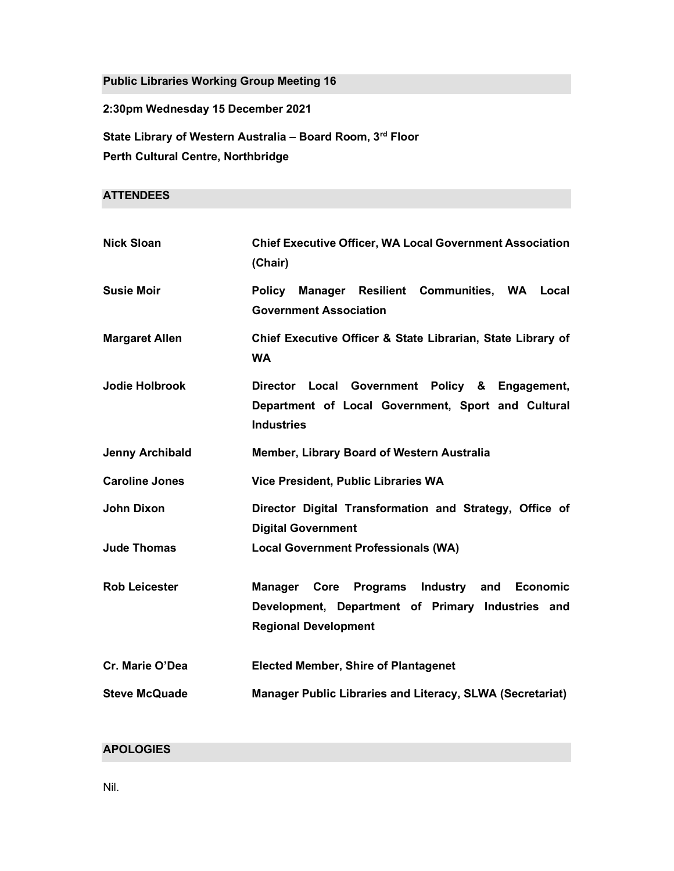Public Libraries Working Group Meeting 16

2:30pm Wednesday 15 December 2021

State Library of Western Australia - Board Room, 3rd Floor Perth Cultural Centre, Northbridge

# **ATTENDEES**

| <b>Nick Sloan</b>      | <b>Chief Executive Officer, WA Local Government Association</b><br>(Chair)                                                                          |
|------------------------|-----------------------------------------------------------------------------------------------------------------------------------------------------|
| <b>Susie Moir</b>      | Manager Resilient Communities, WA Local<br><b>Policy</b><br><b>Government Association</b>                                                           |
| <b>Margaret Allen</b>  | Chief Executive Officer & State Librarian, State Library of<br><b>WA</b>                                                                            |
| <b>Jodie Holbrook</b>  | Director Local Government Policy & Engagement,<br>Department of Local Government, Sport and Cultural<br><b>Industries</b>                           |
| <b>Jenny Archibald</b> | Member, Library Board of Western Australia                                                                                                          |
| <b>Caroline Jones</b>  | Vice President, Public Libraries WA                                                                                                                 |
| <b>John Dixon</b>      | Director Digital Transformation and Strategy, Office of<br><b>Digital Government</b>                                                                |
| <b>Jude Thomas</b>     | <b>Local Government Professionals (WA)</b>                                                                                                          |
| <b>Rob Leicester</b>   | Industry and Economic<br><b>Programs</b><br><b>Manager</b> Core<br>Development, Department of Primary Industries and<br><b>Regional Development</b> |
| Cr. Marie O'Dea        | <b>Elected Member, Shire of Plantagenet</b>                                                                                                         |
| <b>Steve McQuade</b>   | Manager Public Libraries and Literacy, SLWA (Secretariat)                                                                                           |

# APOLOGIES

Nil.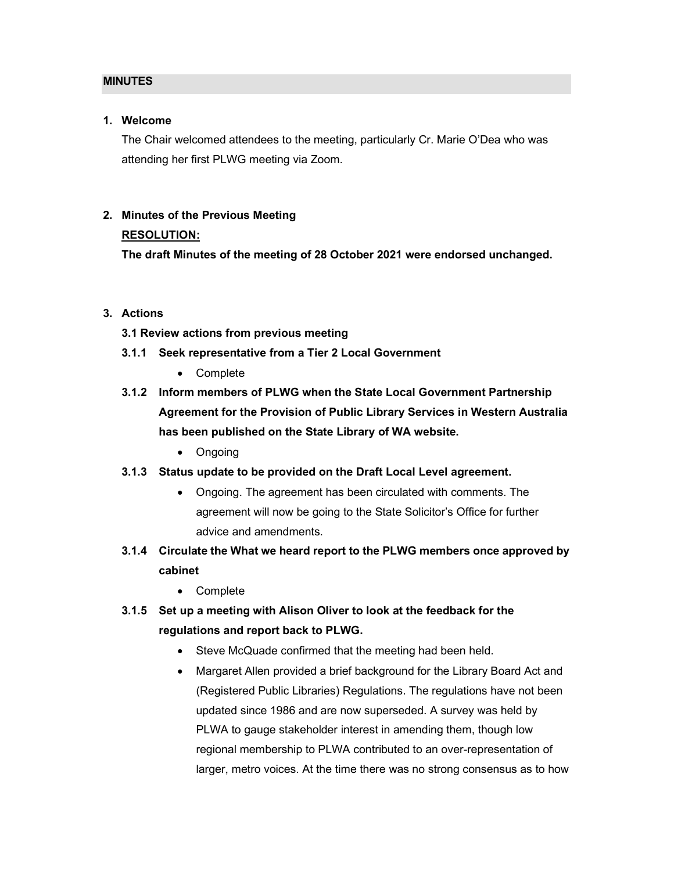#### MINUTES

#### 1. Welcome

The Chair welcomed attendees to the meeting, particularly Cr. Marie O'Dea who was attending her first PLWG meeting via Zoom.

# 2. Minutes of the Previous Meeting

#### RESOLUTION:

The draft Minutes of the meeting of 28 October 2021 were endorsed unchanged.

### 3. Actions

- 3.1 Review actions from previous meeting
- 3.1.1 Seek representative from a Tier 2 Local Government
	- Complete
- 3.1.2 Inform members of PLWG when the State Local Government Partnership Agreement for the Provision of Public Library Services in Western Australia has been published on the State Library of WA website.
	- Ongoing
- 3.1.3 Status update to be provided on the Draft Local Level agreement.
	- Ongoing. The agreement has been circulated with comments. The agreement will now be going to the State Solicitor's Office for further advice and amendments.
- 3.1.4 Circulate the What we heard report to the PLWG members once approved by cabinet
	- Complete
- 3.1.5 Set up a meeting with Alison Oliver to look at the feedback for the regulations and report back to PLWG.
	- Steve McQuade confirmed that the meeting had been held.
	- Margaret Allen provided a brief background for the Library Board Act and (Registered Public Libraries) Regulations. The regulations have not been updated since 1986 and are now superseded. A survey was held by PLWA to gauge stakeholder interest in amending them, though low regional membership to PLWA contributed to an over-representation of larger, metro voices. At the time there was no strong consensus as to how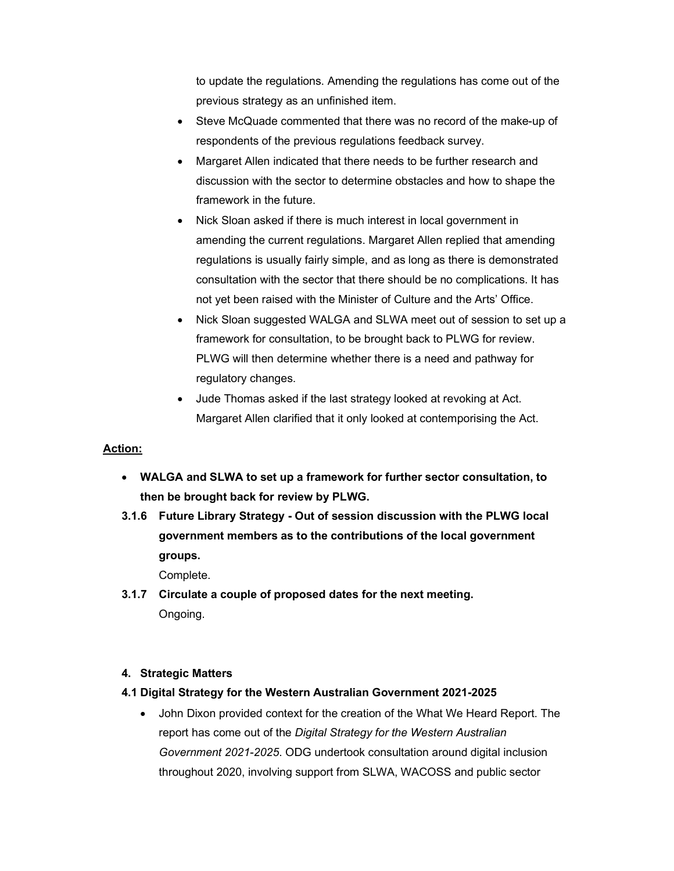to update the regulations. Amending the regulations has come out of the previous strategy as an unfinished item.

- Steve McQuade commented that there was no record of the make-up of respondents of the previous regulations feedback survey.
- Margaret Allen indicated that there needs to be further research and discussion with the sector to determine obstacles and how to shape the framework in the future.
- Nick Sloan asked if there is much interest in local government in amending the current regulations. Margaret Allen replied that amending regulations is usually fairly simple, and as long as there is demonstrated consultation with the sector that there should be no complications. It has not yet been raised with the Minister of Culture and the Arts' Office.
- Nick Sloan suggested WALGA and SLWA meet out of session to set up a framework for consultation, to be brought back to PLWG for review. PLWG will then determine whether there is a need and pathway for regulatory changes.
- Jude Thomas asked if the last strategy looked at revoking at Act. Margaret Allen clarified that it only looked at contemporising the Act.

# Action:

- WALGA and SLWA to set up a framework for further sector consultation, to then be brought back for review by PLWG.
- 3.1.6 Future Library Strategy Out of session discussion with the PLWG local government members as to the contributions of the local government groups.

Complete.

3.1.7 Circulate a couple of proposed dates for the next meeting. Ongoing.

#### 4. Strategic Matters

#### 4.1 Digital Strategy for the Western Australian Government 2021-2025

 John Dixon provided context for the creation of the What We Heard Report. The report has come out of the Digital Strategy for the Western Australian Government 2021-2025. ODG undertook consultation around digital inclusion throughout 2020, involving support from SLWA, WACOSS and public sector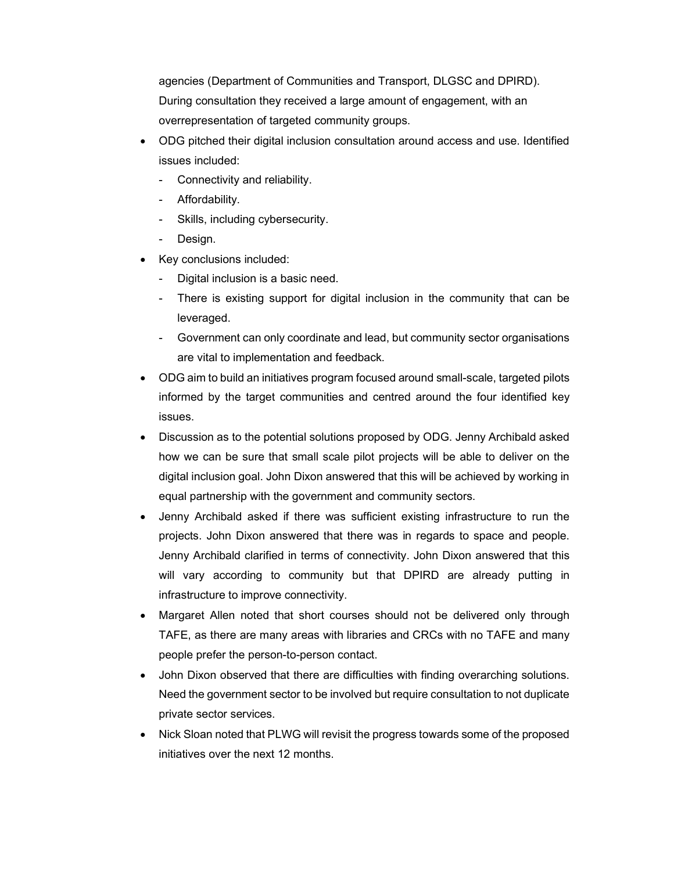agencies (Department of Communities and Transport, DLGSC and DPIRD). During consultation they received a large amount of engagement, with an overrepresentation of targeted community groups.

- ODG pitched their digital inclusion consultation around access and use. Identified issues included:
	- Connectivity and reliability.
	- Affordability.
	- Skills, including cybersecurity.
	- Design.
- Key conclusions included:
	- Digital inclusion is a basic need.
	- There is existing support for digital inclusion in the community that can be leveraged.
	- Government can only coordinate and lead, but community sector organisations are vital to implementation and feedback.
- ODG aim to build an initiatives program focused around small-scale, targeted pilots informed by the target communities and centred around the four identified key issues.
- Discussion as to the potential solutions proposed by ODG. Jenny Archibald asked how we can be sure that small scale pilot projects will be able to deliver on the digital inclusion goal. John Dixon answered that this will be achieved by working in equal partnership with the government and community sectors.
- Jenny Archibald asked if there was sufficient existing infrastructure to run the projects. John Dixon answered that there was in regards to space and people. Jenny Archibald clarified in terms of connectivity. John Dixon answered that this will vary according to community but that DPIRD are already putting in infrastructure to improve connectivity.
- Margaret Allen noted that short courses should not be delivered only through TAFE, as there are many areas with libraries and CRCs with no TAFE and many people prefer the person-to-person contact.
- John Dixon observed that there are difficulties with finding overarching solutions. Need the government sector to be involved but require consultation to not duplicate private sector services.
- Nick Sloan noted that PLWG will revisit the progress towards some of the proposed initiatives over the next 12 months.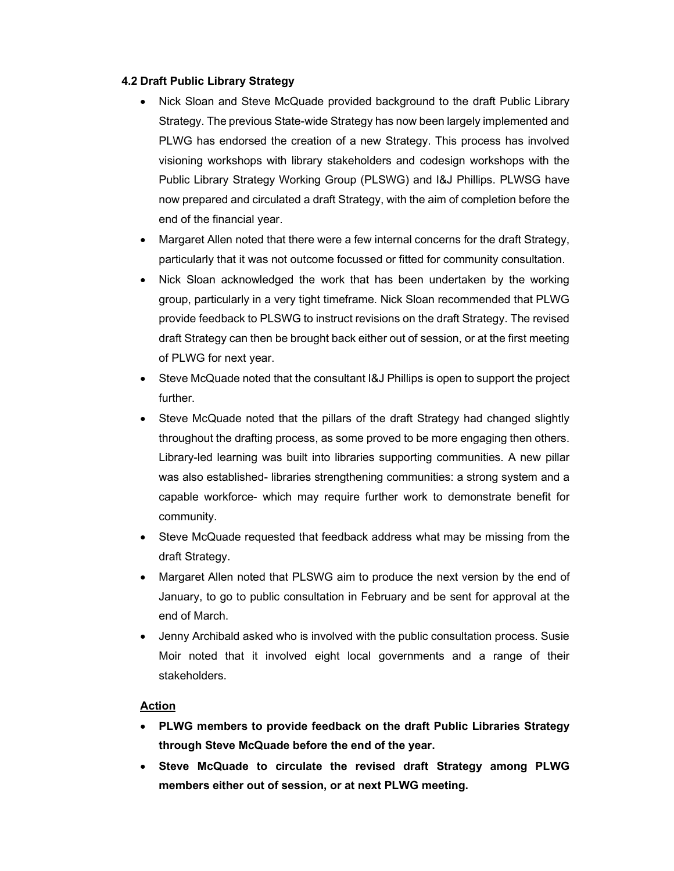#### 4.2 Draft Public Library Strategy

- Nick Sloan and Steve McQuade provided background to the draft Public Library Strategy. The previous State-wide Strategy has now been largely implemented and PLWG has endorsed the creation of a new Strategy. This process has involved visioning workshops with library stakeholders and codesign workshops with the Public Library Strategy Working Group (PLSWG) and I&J Phillips. PLWSG have now prepared and circulated a draft Strategy, with the aim of completion before the end of the financial year.
- Margaret Allen noted that there were a few internal concerns for the draft Strategy, particularly that it was not outcome focussed or fitted for community consultation.
- Nick Sloan acknowledged the work that has been undertaken by the working group, particularly in a very tight timeframe. Nick Sloan recommended that PLWG provide feedback to PLSWG to instruct revisions on the draft Strategy. The revised draft Strategy can then be brought back either out of session, or at the first meeting of PLWG for next year.
- Steve McQuade noted that the consultant I&J Phillips is open to support the project further.
- Steve McQuade noted that the pillars of the draft Strategy had changed slightly throughout the drafting process, as some proved to be more engaging then others. Library-led learning was built into libraries supporting communities. A new pillar was also established- libraries strengthening communities: a strong system and a capable workforce- which may require further work to demonstrate benefit for community.
- Steve McQuade requested that feedback address what may be missing from the draft Strategy.
- Margaret Allen noted that PLSWG aim to produce the next version by the end of January, to go to public consultation in February and be sent for approval at the end of March.
- Jenny Archibald asked who is involved with the public consultation process. Susie Moir noted that it involved eight local governments and a range of their stakeholders.

#### Action

- PLWG members to provide feedback on the draft Public Libraries Strategy through Steve McQuade before the end of the year.
- Steve McQuade to circulate the revised draft Strategy among PLWG members either out of session, or at next PLWG meeting.